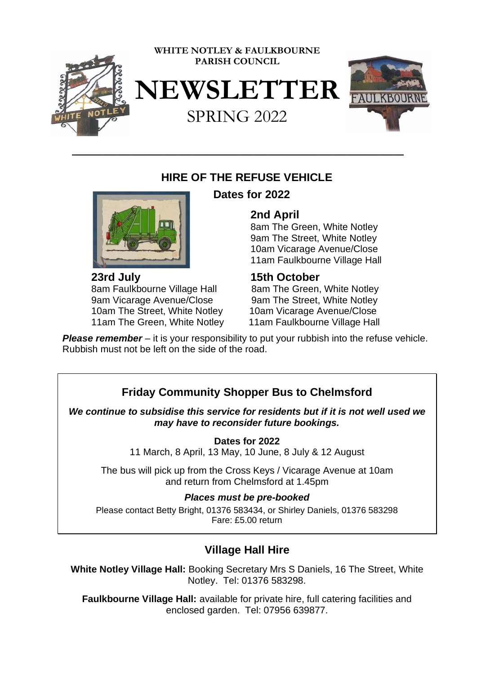

# **HIRE OF THE REFUSE VEHICLE**

\_\_\_\_\_\_\_\_\_\_\_\_\_\_\_\_\_\_\_\_\_\_\_\_\_\_\_\_\_\_\_\_\_\_\_\_\_\_\_\_\_\_\_\_\_\_\_\_\_\_\_\_\_\_\_\_\_\_\_\_\_\_\_\_\_\_\_\_\_



**23rd July 15th October**  8am Faulkbourne Village Hall 8am The Green, White Notley 9am Vicarage Avenue/Close 9am The Street, White Notley 10am The Street, White Notley 10am Vicarage Avenue/Close 11am The Green, White Notley 11am Faulkbourne Village Hall

# **Dates for 2022**

## **2nd April**

 8am The Green, White Notley 9am The Street, White Notley 10am Vicarage Avenue/Close 11am Faulkbourne Village Hall

*Please remember* – it is your responsibility to put your rubbish into the refuse vehicle. Rubbish must not be left on the side of the road.

# **Friday Community Shopper Bus to Chelmsford**

*We continue to subsidise this service for residents but if it is not well used we may have to reconsider future bookings.*

**Dates for 2022**

11 March, 8 April, 13 May, 10 June, 8 July & 12 August

The bus will pick up from the Cross Keys / Vicarage Avenue at 10am and return from Chelmsford at 1.45pm

### *Places must be pre-booked*

Please contact Betty Bright, 01376 583434, or Shirley Daniels, 01376 583298 Fare: £5.00 return

# **Village Hall Hire**

**White Notley Village Hall:** Booking Secretary Mrs S Daniels, 16 The Street, White Notley. Tel: 01376 583298.

**Faulkbourne Village Hall:** available for private hire, full catering facilities and enclosed garden. Tel: 07956 639877.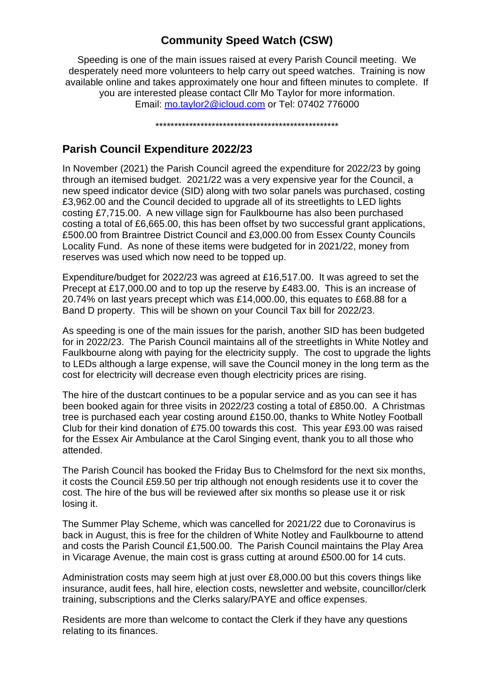# **Community Speed Watch (CSW)**

Speeding is one of the main issues raised at every Parish Council meeting. We desperately need more volunteers to help carry out speed watches. Training is now available online and takes approximately one hour and fifteen minutes to complete. If you are interested please contact Cllr Mo Taylor for more information. Email: [mo.taylor2@icloud.com](mailto:mo.taylor2@icloud.com) or Tel: 07402 776000

\*\*\*\*\*\*\*\*\*\*\*\*\*\*\*\*\*\*\*\*\*\*\*\*\*\*\*\*\*\*\*\*\*\*\*\*\*\*\*\*\*\*\*\*\*\*\*\*\*

# **Parish Council Expenditure 2022/23**

In November (2021) the Parish Council agreed the expenditure for 2022/23 by going through an itemised budget. 2021/22 was a very expensive year for the Council, a new speed indicator device (SID) along with two solar panels was purchased, costing £3,962.00 and the Council decided to upgrade all of its streetlights to LED lights costing £7,715.00. A new village sign for Faulkbourne has also been purchased costing a total of £6,665.00, this has been offset by two successful grant applications, £500.00 from Braintree District Council and £3,000.00 from Essex County Councils Locality Fund. As none of these items were budgeted for in 2021/22, money from reserves was used which now need to be topped up.

Expenditure/budget for 2022/23 was agreed at £16,517.00. It was agreed to set the Precept at £17,000.00 and to top up the reserve by £483.00. This is an increase of 20.74% on last years precept which was £14,000.00, this equates to £68.88 for a Band D property. This will be shown on your Council Tax bill for 2022/23.

As speeding is one of the main issues for the parish, another SID has been budgeted for in 2022/23. The Parish Council maintains all of the streetlights in White Notley and Faulkbourne along with paying for the electricity supply. The cost to upgrade the lights to LEDs although a large expense, will save the Council money in the long term as the cost for electricity will decrease even though electricity prices are rising.

The hire of the dustcart continues to be a popular service and as you can see it has been booked again for three visits in 2022/23 costing a total of £850.00. A Christmas tree is purchased each year costing around £150.00, thanks to White Notley Football Club for their kind donation of £75.00 towards this cost. This year £93.00 was raised for the Essex Air Ambulance at the Carol Singing event, thank you to all those who attended.

The Parish Council has booked the Friday Bus to Chelmsford for the next six months, it costs the Council £59.50 per trip although not enough residents use it to cover the cost. The hire of the bus will be reviewed after six months so please use it or risk losing it.

The Summer Play Scheme, which was cancelled for 2021/22 due to Coronavirus is back in August, this is free for the children of White Notley and Faulkbourne to attend and costs the Parish Council £1,500.00. The Parish Council maintains the Play Area in Vicarage Avenue, the main cost is grass cutting at around £500.00 for 14 cuts.

Administration costs may seem high at just over £8,000.00 but this covers things like insurance, audit fees, hall hire, election costs, newsletter and website, councillor/clerk training, subscriptions and the Clerks salary/PAYE and office expenses.

Residents are more than welcome to contact the Clerk if they have any questions relating to its finances.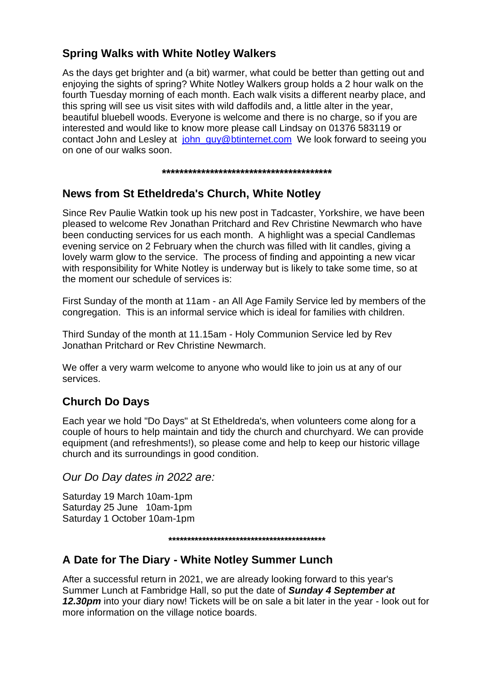## **Spring Walks with White Notley Walkers**

As the days get brighter and (a bit) warmer, what could be better than getting out and enjoying the sights of spring? White Notley Walkers group holds a 2 hour walk on the fourth Tuesday morning of each month. Each walk visits a different nearby place, and this spring will see us visit sites with wild daffodils and, a little alter in the year, beautiful bluebell woods. Everyone is welcome and there is no charge, so if you are interested and would like to know more please call Lindsay on 01376 583119 or contact John and Lesley at [john\\_guy@btinternet.com](mailto:john_guy@btinternet.com) We look forward to seeing you on one of our walks soon.

**\*\*\*\*\*\*\*\*\*\*\*\*\*\*\*\*\*\*\*\*\*\*\*\*\*\*\*\*\*\*\*\*\*\*\*\*\*\*\***

# **News from St Etheldreda's Church, White Notley**

Since Rev Paulie Watkin took up his new post in Tadcaster, Yorkshire, we have been pleased to welcome Rev Jonathan Pritchard and Rev Christine Newmarch who have been conducting services for us each month. A highlight was a special Candlemas evening service on 2 February when the church was filled with lit candles, giving a lovely warm glow to the service. The process of finding and appointing a new vicar with responsibility for White Notley is underway but is likely to take some time, so at the moment our schedule of services is:

First Sunday of the month at 11am - an All Age Family Service led by members of the congregation. This is an informal service which is ideal for families with children.

Third Sunday of the month at 11.15am - Holy Communion Service led by Rev Jonathan Pritchard or Rev Christine Newmarch.

We offer a very warm welcome to anyone who would like to join us at any of our services.

# **Church Do Days**

Each year we hold "Do Days" at St Etheldreda's, when volunteers come along for a couple of hours to help maintain and tidy the church and churchyard. We can provide equipment (and refreshments!), so please come and help to keep our historic village church and its surroundings in good condition.

*Our Do Day dates in 2022 are:*

Saturday 19 March 10am-1pm Saturday 25 June 10am-1pm Saturday 1 October 10am-1pm

#### **\*\*\*\*\*\*\*\*\*\*\*\*\*\*\*\*\*\*\*\*\*\*\*\*\*\*\*\*\*\*\*\*\*\*\*\*\*\*\*\*\*\***

## **A Date for The Diary - White Notley Summer Lunch**

After a successful return in 2021, we are already looking forward to this year's Summer Lunch at Fambridge Hall, so put the date of *Sunday 4 September at 12.30pm* into your diary now! Tickets will be on sale a bit later in the year - look out for more information on the village notice boards.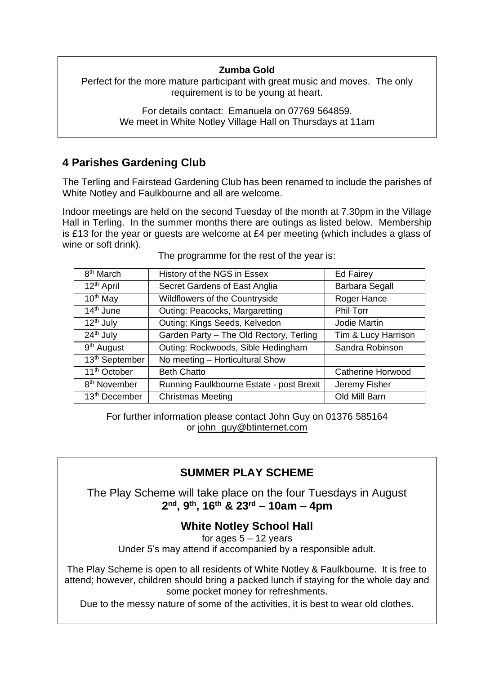#### **Zumba Gold**

Perfect for the more mature participant with great music and moves. The only requirement is to be young at heart.

> For details contact: Emanuela on 07769 564859. We meet in White Notley Village Hall on Thursdays at 11am

## **4 Parishes Gardening Club**

The Terling and Fairstead Gardening Club has been renamed to include the parishes of White Notley and Faulkbourne and all are welcome.

Indoor meetings are held on the second Tuesday of the month at 7.30pm in the Village Hall in Terling. In the summer months there are outings as listed below. Membership is £13 for the year or guests are welcome at £4 per meeting (which includes a glass of wine or soft drink).

| 8 <sup>th</sup> March      | History of the NGS in Essex              | <b>Ed Fairey</b>         |
|----------------------------|------------------------------------------|--------------------------|
| 12 <sup>th</sup> April     | Secret Gardens of East Anglia            | <b>Barbara Segall</b>    |
| $10th$ May                 | Wildflowers of the Countryside           | Roger Hance              |
| $14th$ June                | Outing: Peacocks, Margaretting           | Phil Torr                |
| $12th$ July                | Outing: Kings Seeds, Kelvedon            | Jodie Martin             |
| 24 <sup>th</sup> July      | Garden Party - The Old Rectory, Terling  | Tim & Lucy Harrison      |
| 9 <sup>th</sup> August     | Outing: Rockwoods, Sible Hedingham       | Sandra Robinson          |
| 13 <sup>th</sup> September | No meeting - Horticultural Show          |                          |
| 11 <sup>th</sup> October   | <b>Beth Chatto</b>                       | <b>Catherine Horwood</b> |
| 8 <sup>th</sup> November   | Running Faulkbourne Estate - post Brexit | Jeremy Fisher            |
| 13 <sup>th</sup> December  | <b>Christmas Meeting</b>                 | Old Mill Barn            |

The programme for the rest of the year is:

For further information please contact John Guy on 01376 585164 or [john\\_guy@btinternet.com](mailto:john_guy@btinternet.com)

# **SUMMER PLAY SCHEME**

The Play Scheme will take place on the four Tuesdays in August **2 nd, 9th, 16th & 23rd – 10am – 4pm**

## **White Notley School Hall**

for ages  $5 - 12$  years Under 5's may attend if accompanied by a responsible adult.

The Play Scheme is open to all residents of White Notley & Faulkbourne. It is free to attend; however, children should bring a packed lunch if staying for the whole day and some pocket money for refreshments.

Due to the messy nature of some of the activities, it is best to wear old clothes.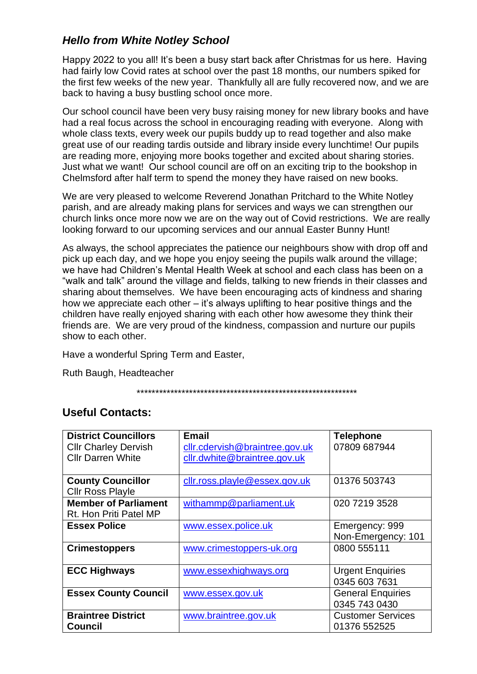# *Hello from White Notley School*

Happy 2022 to you all! It's been a busy start back after Christmas for us here. Having had fairly low Covid rates at school over the past 18 months, our numbers spiked for the first few weeks of the new year. Thankfully all are fully recovered now, and we are back to having a busy bustling school once more.

Our school council have been very busy raising money for new library books and have had a real focus across the school in encouraging reading with everyone. Along with whole class texts, every week our pupils buddy up to read together and also make great use of our reading tardis outside and library inside every lunchtime! Our pupils are reading more, enjoying more books together and excited about sharing stories. Just what we want! Our school council are off on an exciting trip to the bookshop in Chelmsford after half term to spend the money they have raised on new books.

We are very pleased to welcome Reverend Jonathan Pritchard to the White Notley parish, and are already making plans for services and ways we can strengthen our church links once more now we are on the way out of Covid restrictions. We are really looking forward to our upcoming services and our annual Easter Bunny Hunt!

As always, the school appreciates the patience our neighbours show with drop off and pick up each day, and we hope you enjoy seeing the pupils walk around the village; we have had Children's Mental Health Week at school and each class has been on a "walk and talk" around the village and fields, talking to new friends in their classes and sharing about themselves. We have been encouraging acts of kindness and sharing how we appreciate each other – it's always uplifting to hear positive things and the children have really enjoyed sharing with each other how awesome they think their friends are. We are very proud of the kindness, compassion and nurture our pupils show to each other.

Have a wonderful Spring Term and Easter,

Ruth Baugh, Headteacher

\*\*\*\*\*\*\*\*\*\*\*\*\*\*\*\*\*\*\*\*\*\*\*\*\*\*\*\*\*\*\*\*\*\*\*\*\*\*\*\*\*\*\*\*\*\*\*\*\*\*\*\*\*\*\*\*\*\*\*

## **Useful Contacts:**

| <b>District Councillors</b> | <b>Email</b>                   | <b>Telephone</b>         |
|-----------------------------|--------------------------------|--------------------------|
| <b>Cllr Charley Dervish</b> | cllr.cdervish@braintree.gov.uk | 07809 687944             |
| <b>Cllr Darren White</b>    | cllr.dwhite@braintree.gov.uk   |                          |
|                             |                                |                          |
| <b>County Councillor</b>    | cllr.ross.playle@essex.gov.uk  | 01376 503743             |
| <b>Cllr Ross Playle</b>     |                                |                          |
| <b>Member of Parliament</b> | withammp@parliament.uk         | 020 7219 3528            |
| Rt. Hon Priti Patel MP      |                                |                          |
| <b>Essex Police</b>         | www.essex.police.uk            | Emergency: 999           |
|                             |                                | Non-Emergency: 101       |
| <b>Crimestoppers</b>        | www.crimestoppers-uk.org       | 0800 555111              |
|                             |                                |                          |
| <b>ECC Highways</b>         | www.essexhighways.org          | <b>Urgent Enquiries</b>  |
|                             |                                | 0345 603 7631            |
| <b>Essex County Council</b> | www.essex.gov.uk               | <b>General Enquiries</b> |
|                             |                                | 0345 743 0430            |
| <b>Braintree District</b>   | www.braintree.gov.uk           | <b>Customer Services</b> |
| <b>Council</b>              |                                | 01376 552525             |